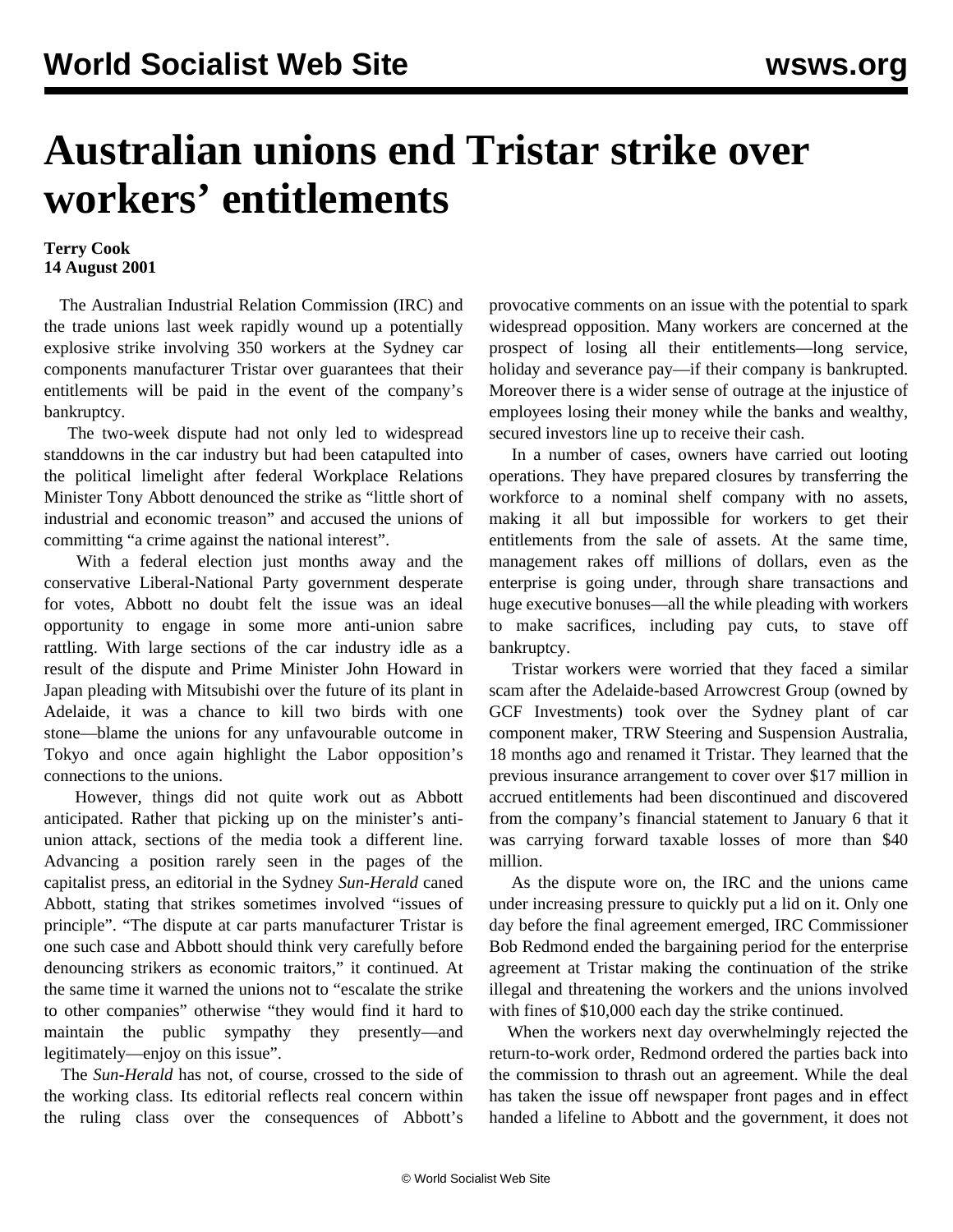## **Australian unions end Tristar strike over workers' entitlements**

## **Terry Cook 14 August 2001**

 The Australian Industrial Relation Commission (IRC) and the trade unions last week rapidly wound up a potentially explosive strike involving 350 workers at the Sydney car components manufacturer Tristar over guarantees that their entitlements will be paid in the event of the company's bankruptcy.

 The two-week dispute had not only led to widespread standdowns in the car industry but had been catapulted into the political limelight after federal Workplace Relations Minister Tony Abbott denounced the strike as "little short of industrial and economic treason" and accused the unions of committing "a crime against the national interest".

 With a federal election just months away and the conservative Liberal-National Party government desperate for votes, Abbott no doubt felt the issue was an ideal opportunity to engage in some more anti-union sabre rattling. With large sections of the car industry idle as a result of the dispute and Prime Minister John Howard in Japan pleading with Mitsubishi over the future of its plant in Adelaide, it was a chance to kill two birds with one stone—blame the unions for any unfavourable outcome in Tokyo and once again highlight the Labor opposition's connections to the unions.

 However, things did not quite work out as Abbott anticipated. Rather that picking up on the minister's antiunion attack, sections of the media took a different line. Advancing a position rarely seen in the pages of the capitalist press, an editorial in the Sydney *Sun-Herald* caned Abbott, stating that strikes sometimes involved "issues of principle". "The dispute at car parts manufacturer Tristar is one such case and Abbott should think very carefully before denouncing strikers as economic traitors," it continued. At the same time it warned the unions not to "escalate the strike to other companies" otherwise "they would find it hard to maintain the public sympathy they presently—and legitimately—enjoy on this issue".

 The *Sun-Herald* has not, of course, crossed to the side of the working class. Its editorial reflects real concern within the ruling class over the consequences of Abbott's provocative comments on an issue with the potential to spark widespread opposition. Many workers are concerned at the prospect of losing all their entitlements—long service, holiday and severance pay—if their company is bankrupted. Moreover there is a wider sense of outrage at the injustice of employees losing their money while the banks and wealthy, secured investors line up to receive their cash.

 In a number of cases, owners have carried out looting operations. They have prepared closures by transferring the workforce to a nominal shelf company with no assets, making it all but impossible for workers to get their entitlements from the sale of assets. At the same time, management rakes off millions of dollars, even as the enterprise is going under, through share transactions and huge executive bonuses—all the while pleading with workers to make sacrifices, including pay cuts, to stave off bankruptcy.

 Tristar workers were worried that they faced a similar scam after the Adelaide-based Arrowcrest Group (owned by GCF Investments) took over the Sydney plant of car component maker, TRW Steering and Suspension Australia, 18 months ago and renamed it Tristar. They learned that the previous insurance arrangement to cover over \$17 million in accrued entitlements had been discontinued and discovered from the company's financial statement to January 6 that it was carrying forward taxable losses of more than \$40 million.

 As the dispute wore on, the IRC and the unions came under increasing pressure to quickly put a lid on it. Only one day before the final agreement emerged, IRC Commissioner Bob Redmond ended the bargaining period for the enterprise agreement at Tristar making the continuation of the strike illegal and threatening the workers and the unions involved with fines of \$10,000 each day the strike continued.

 When the workers next day overwhelmingly rejected the return-to-work order, Redmond ordered the parties back into the commission to thrash out an agreement. While the deal has taken the issue off newspaper front pages and in effect handed a lifeline to Abbott and the government, it does not